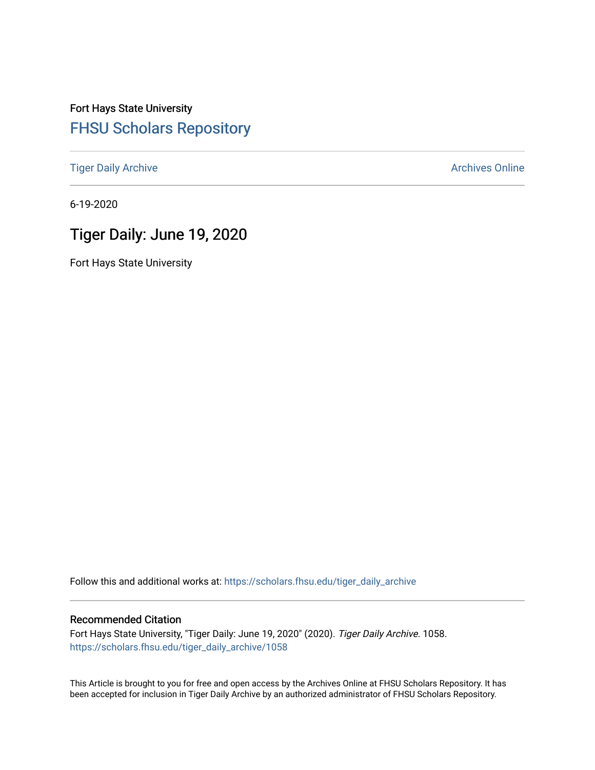# Fort Hays State University [FHSU Scholars Repository](https://scholars.fhsu.edu/)

[Tiger Daily Archive](https://scholars.fhsu.edu/tiger_daily_archive) **Archives** Online Archives Online

6-19-2020

# Tiger Daily: June 19, 2020

Fort Hays State University

Follow this and additional works at: [https://scholars.fhsu.edu/tiger\\_daily\\_archive](https://scholars.fhsu.edu/tiger_daily_archive?utm_source=scholars.fhsu.edu%2Ftiger_daily_archive%2F1058&utm_medium=PDF&utm_campaign=PDFCoverPages)

#### Recommended Citation

Fort Hays State University, "Tiger Daily: June 19, 2020" (2020). Tiger Daily Archive. 1058. [https://scholars.fhsu.edu/tiger\\_daily\\_archive/1058](https://scholars.fhsu.edu/tiger_daily_archive/1058?utm_source=scholars.fhsu.edu%2Ftiger_daily_archive%2F1058&utm_medium=PDF&utm_campaign=PDFCoverPages)

This Article is brought to you for free and open access by the Archives Online at FHSU Scholars Repository. It has been accepted for inclusion in Tiger Daily Archive by an authorized administrator of FHSU Scholars Repository.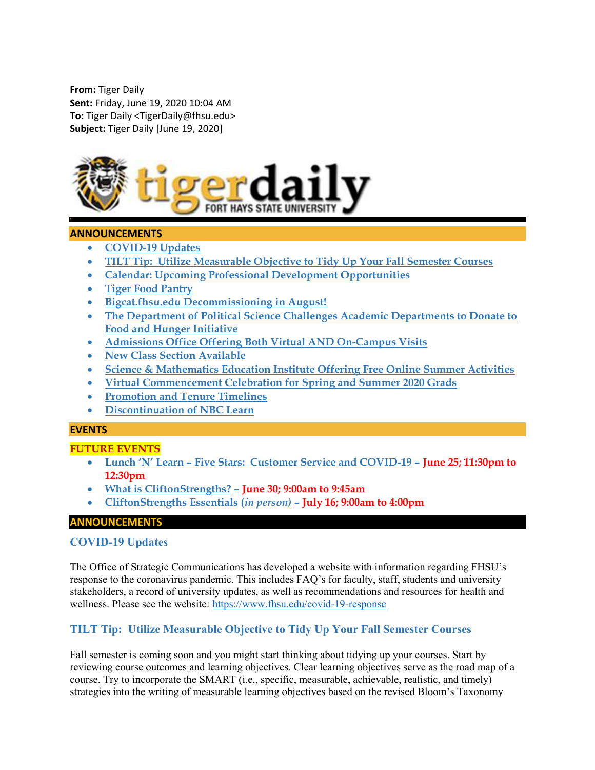From: Tiger Daily Sent: Friday, June 19, 2020 10:04 AM To: Tiger Daily <TigerDaily@fhsu.edu> Subject: Tiger Daily [June 19, 2020]



#### ANNOUNCEMENTS

- COVID-19 Updates
- TILT Tip: Utilize Measurable Objective to Tidy Up Your Fall Semester Courses
- Calendar: Upcoming Professional Development Opportunities
- Tiger Food Pantry
- Bigcat.fhsu.edu Decommissioning in August!
- The Department of Political Science Challenges Academic Departments to Donate to Food and Hunger Initiative
- Admissions Office Offering Both Virtual AND On-Campus Visits
- New Class Section Available
- Science & Mathematics Education Institute Offering Free Online Summer Activities
- Virtual Commencement Celebration for Spring and Summer 2020 Grads
- Promotion and Tenure Timelines
- Discontinuation of NBC Learn

#### EVENTS

#### FUTURE EVENTS

- Lunch 'N' Learn Five Stars: Customer Service and COVID-19 June 25; 11:30pm to 12:30pm
- What is CliftonStrengths? June 30; 9:00am to 9:45am
- CliftonStrengths Essentials (in person) July 16; 9:00am to 4:00pm

## ANNOUNCEMENTS

#### COVID-19 Updates

The Office of Strategic Communications has developed a website with information regarding FHSU's response to the coronavirus pandemic. This includes FAQ's for faculty, staff, students and university stakeholders, a record of university updates, as well as recommendations and resources for health and wellness. Please see the website: https://www.fhsu.edu/covid-19-response

## TILT Tip: Utilize Measurable Objective to Tidy Up Your Fall Semester Courses

Fall semester is coming soon and you might start thinking about tidying up your courses. Start by reviewing course outcomes and learning objectives. Clear learning objectives serve as the road map of a course. Try to incorporate the SMART (i.e., specific, measurable, achievable, realistic, and timely) strategies into the writing of measurable learning objectives based on the revised Bloom's Taxonomy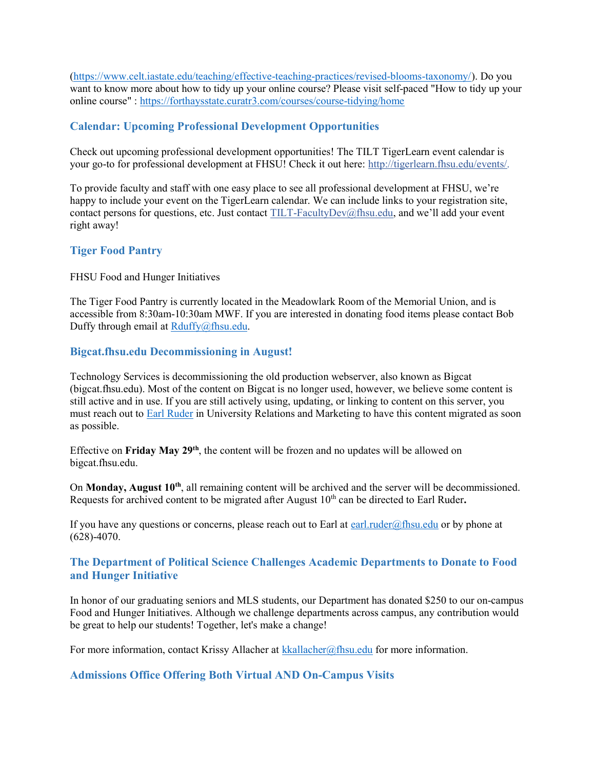(https://www.celt.iastate.edu/teaching/effective-teaching-practices/revised-blooms-taxonomy/). Do you want to know more about how to tidy up your online course? Please visit self-paced "How to tidy up your online course" : https://forthaysstate.curatr3.com/courses/course-tidying/home

## Calendar: Upcoming Professional Development Opportunities

Check out upcoming professional development opportunities! The TILT TigerLearn event calendar is your go-to for professional development at FHSU! Check it out here: http://tigerlearn.fhsu.edu/events/.

To provide faculty and staff with one easy place to see all professional development at FHSU, we're happy to include your event on the TigerLearn calendar. We can include links to your registration site, contact persons for questions, etc. Just contact TILT-FacultyDev@fhsu.edu, and we'll add your event right away!

## Tiger Food Pantry

#### FHSU Food and Hunger Initiatives

The Tiger Food Pantry is currently located in the Meadowlark Room of the Memorial Union, and is accessible from 8:30am-10:30am MWF. If you are interested in donating food items please contact Bob Duffy through email at Rduffy@fhsu.edu.

#### Bigcat.fhsu.edu Decommissioning in August!

Technology Services is decommissioning the old production webserver, also known as Bigcat (bigcat.fhsu.edu). Most of the content on Bigcat is no longer used, however, we believe some content is still active and in use. If you are still actively using, updating, or linking to content on this server, you must reach out to Earl Ruder in University Relations and Marketing to have this content migrated as soon as possible.

Effective on Friday May 29<sup>th</sup>, the content will be frozen and no updates will be allowed on bigcat.fhsu.edu.

On Monday, August 10<sup>th</sup>, all remaining content will be archived and the server will be decommissioned. Requests for archived content to be migrated after August  $10<sup>th</sup>$  can be directed to Earl Ruder.

If you have any questions or concerns, please reach out to Earl at earl.ruder@fhsu.edu or by phone at (628)-4070.

## The Department of Political Science Challenges Academic Departments to Donate to Food and Hunger Initiative

In honor of our graduating seniors and MLS students, our Department has donated \$250 to our on-campus Food and Hunger Initiatives. Although we challenge departments across campus, any contribution would be great to help our students! Together, let's make a change!

For more information, contact Krissy Allacher at kkallacher@fhsu.edu for more information.

## Admissions Office Offering Both Virtual AND On-Campus Visits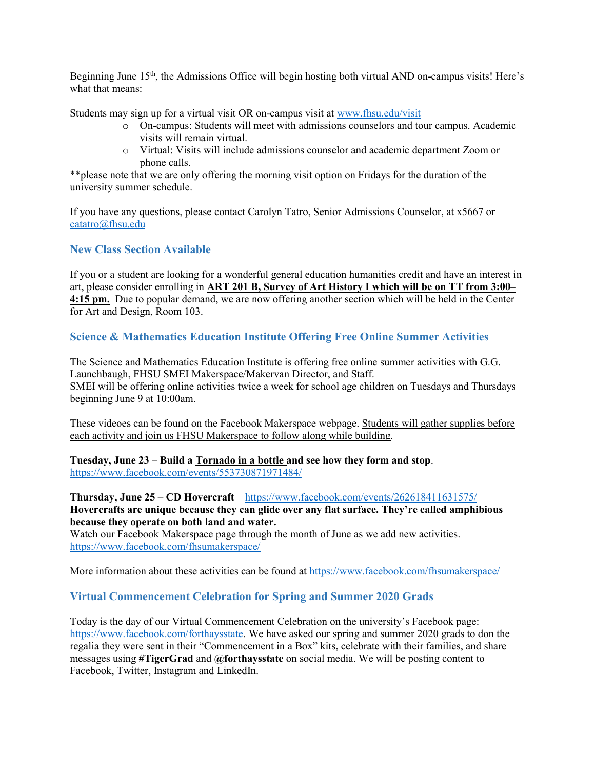Beginning June 15<sup>th</sup>, the Admissions Office will begin hosting both virtual AND on-campus visits! Here's what that means:

Students may sign up for a virtual visit OR on-campus visit at www.fhsu.edu/visit

- o On-campus: Students will meet with admissions counselors and tour campus. Academic visits will remain virtual.
- o Virtual: Visits will include admissions counselor and academic department Zoom or phone calls.

\*\*please note that we are only offering the morning visit option on Fridays for the duration of the university summer schedule.

If you have any questions, please contact Carolyn Tatro, Senior Admissions Counselor, at x5667 or catatro@fhsu.edu

## New Class Section Available

If you or a student are looking for a wonderful general education humanities credit and have an interest in art, please consider enrolling in ART 201 B, Survey of Art History I which will be on TT from 3:00– 4:15 pm. Due to popular demand, we are now offering another section which will be held in the Center for Art and Design, Room 103.

## Science & Mathematics Education Institute Offering Free Online Summer Activities

The Science and Mathematics Education Institute is offering free online summer activities with G.G. Launchbaugh, FHSU SMEI Makerspace/Makervan Director, and Staff. SMEI will be offering online activities twice a week for school age children on Tuesdays and Thursdays beginning June 9 at 10:00am.

These videoes can be found on the Facebook Makerspace webpage. Students will gather supplies before each activity and join us FHSU Makerspace to follow along while building.

#### Tuesday, June 23 – Build a Tornado in a bottle and see how they form and stop. https://www.facebook.com/events/553730871971484/

Thursday, June 25 – CD Hovercraft https://www.facebook.com/events/262618411631575/ Hovercrafts are unique because they can glide over any flat surface. They're called amphibious because they operate on both land and water.

Watch our Facebook Makerspace page through the month of June as we add new activities. https://www.facebook.com/fhsumakerspace/

More information about these activities can be found at https://www.facebook.com/fhsumakerspace/

## Virtual Commencement Celebration for Spring and Summer 2020 Grads

Today is the day of our Virtual Commencement Celebration on the university's Facebook page: https://www.facebook.com/forthaysstate. We have asked our spring and summer 2020 grads to don the regalia they were sent in their "Commencement in a Box" kits, celebrate with their families, and share messages using #TigerGrad and @forthaysstate on social media. We will be posting content to Facebook, Twitter, Instagram and LinkedIn.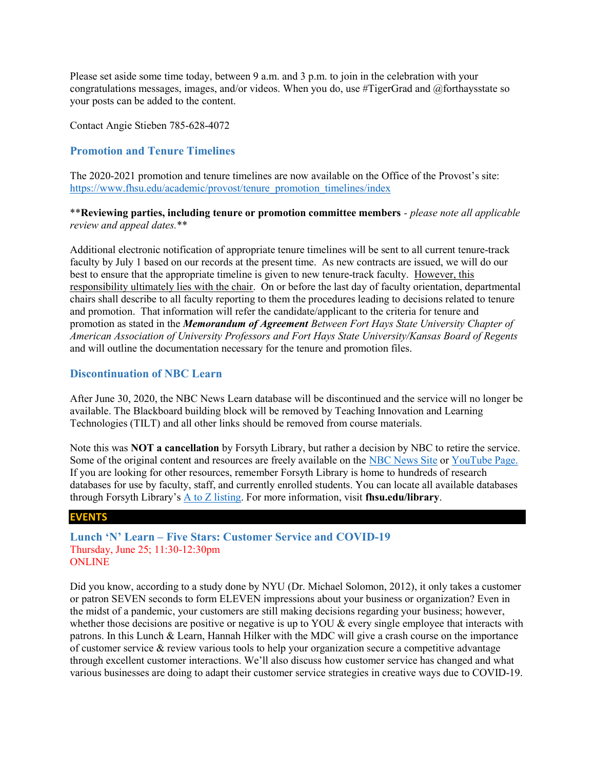Please set aside some time today, between 9 a.m. and 3 p.m. to join in the celebration with your congratulations messages, images, and/or videos. When you do, use #TigerGrad and @forthaysstate so your posts can be added to the content.

Contact Angie Stieben 785-628-4072

## Promotion and Tenure Timelines

The 2020-2021 promotion and tenure timelines are now available on the Office of the Provost's site: https://www.fhsu.edu/academic/provost/tenure\_promotion\_timelines/index

\*\*Reviewing parties, including tenure or promotion committee members - please note all applicable review and appeal dates.\*\*

Additional electronic notification of appropriate tenure timelines will be sent to all current tenure-track faculty by July 1 based on our records at the present time. As new contracts are issued, we will do our best to ensure that the appropriate timeline is given to new tenure-track faculty. However, this responsibility ultimately lies with the chair. On or before the last day of faculty orientation, departmental chairs shall describe to all faculty reporting to them the procedures leading to decisions related to tenure and promotion. That information will refer the candidate/applicant to the criteria for tenure and promotion as stated in the Memorandum of Agreement Between Fort Hays State University Chapter of American Association of University Professors and Fort Hays State University/Kansas Board of Regents and will outline the documentation necessary for the tenure and promotion files.

#### Discontinuation of NBC Learn

After June 30, 2020, the NBC News Learn database will be discontinued and the service will no longer be available. The Blackboard building block will be removed by Teaching Innovation and Learning Technologies (TILT) and all other links should be removed from course materials.

Note this was NOT a cancellation by Forsyth Library, but rather a decision by NBC to retire the service. Some of the original content and resources are freely available on the NBC News Site or YouTube Page. If you are looking for other resources, remember Forsyth Library is home to hundreds of research databases for use by faculty, staff, and currently enrolled students. You can locate all available databases through Forsyth Library's  $\underline{A}$  to  $\underline{Z}$  listing. For more information, visit fhsu.edu/library.

#### EVENTS

Lunch 'N' Learn – Five Stars: Customer Service and COVID-19 Thursday, June 25; 11:30-12:30pm ONLINE

Did you know, according to a study done by NYU (Dr. Michael Solomon, 2012), it only takes a customer or patron SEVEN seconds to form ELEVEN impressions about your business or organization? Even in the midst of a pandemic, your customers are still making decisions regarding your business; however, whether those decisions are positive or negative is up to YOU & every single employee that interacts with patrons. In this Lunch & Learn, Hannah Hilker with the MDC will give a crash course on the importance of customer service & review various tools to help your organization secure a competitive advantage through excellent customer interactions. We'll also discuss how customer service has changed and what various businesses are doing to adapt their customer service strategies in creative ways due to COVID-19.